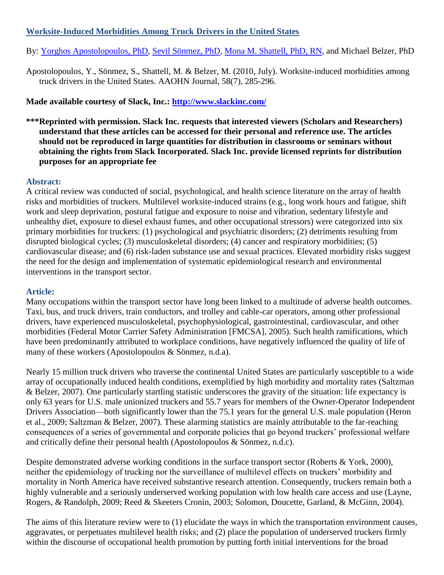# **Worksite-Induced Morbidities Among Truck Drivers in the United States**

By: [Yorghos Apostolopoulos, PhD,](http://libres.uncg.edu/ir/uncg/clist.aspx?id=3233) [Sevil Sönmez, PhD,](http://libres.uncg.edu/ir/uncg/clist.aspx?id=3232) [Mona M. Shattell, PhD, RN,](http://libres.uncg.edu/ir/uncg/clist.aspx?id=1661) and Michael Belzer, PhD

Apostolopoulos, Y., Sönmez, S., Shattell, M. & Belzer, M. (2010, July). Worksite-induced morbidities among truck drivers in the United States. AAOHN Journal, 58(7), 285-296.

# **Made available courtesy of Slack, Inc.:<http://www.slackinc.com/>**

**\*\*\*Reprinted with permission. Slack Inc. requests that interested viewers (Scholars and Researchers) understand that these articles can be accessed for their personal and reference use. The articles should not be reproduced in large quantities for distribution in classrooms or seminars without obtaining the rights from Slack Incorporated. Slack Inc. provide licensed reprints for distribution purposes for an appropriate fee**

### **Abstract:**

A critical review was conducted of social, psychological, and health science literature on the array of health risks and morbidities of truckers. Multilevel worksite-induced strains (e.g., long work hours and fatigue, shift work and sleep deprivation, postural fatigue and exposure to noise and vibration, sedentary lifestyle and unhealthy diet, exposure to diesel exhaust fumes, and other occupational stressors) were categorized into six primary morbidities for truckers: (1) psychological and psychiatric disorders; (2) detriments resulting from disrupted biological cycles; (3) musculoskeletal disorders; (4) cancer and respiratory morbidities; (5) cardiovascular disease; and (6) risk-laden substance use and sexual practices. Elevated morbidity risks suggest the need for the design and implementation of systematic epidemiological research and environmental interventions in the transport sector.

## **Article:**

Many occupations within the transport sector have long been linked to a multitude of adverse health outcomes. Taxi, bus, and truck drivers, train conductors, and trolley and cable-car operators, among other professional drivers, have experienced musculoskeletal, psychophysiological, gastrointestinal, cardiovascular, and other morbidities (Federal Motor Carrier Safety Administration [FMCSA], 2005). Such health ramifications, which have been predominantly attributed to workplace conditions, have negatively influenced the quality of life of many of these workers (Apostolopoulos & Sönmez, n.d.a).

Nearly 15 million truck drivers who traverse the continental United States are particularly susceptible to a wide array of occupationally induced health conditions, exemplified by high morbidity and mortality rates (Saltzman & Belzer, 2007). One particularly startling statistic underscores the gravity of the situation: life expectancy is only 63 years for U.S. male unionized truckers and 55.7 years for members of the Owner-Operator Independent Drivers Association—both significantly lower than the 75.1 years for the general U.S. male population (Heron et al., 2009; Saltzman & Belzer, 2007). These alarming statistics are mainly attributable to the far-reaching consequences of a series of governmental and corporate policies that go beyond truckers' professional welfare and critically define their personal health (Apostolopoulos & Sönmez, n.d.c).

Despite demonstrated adverse working conditions in the surface transport sector (Roberts & York, 2000), neither the epidemiology of trucking nor the surveillance of multilevel effects on truckers' morbidity and mortality in North America have received substantive research attention. Consequently, truckers remain both a highly vulnerable and a seriously underserved working population with low health care access and use (Layne, Rogers, & Randolph, 2009; Reed & Skeeters Cronin, 2003; Solomon, Doucette, Garland, & McGinn, 2004).

The aims of this literature review were to (1) elucidate the ways in which the transportation environment causes, aggravates, or perpetuates multilevel health risks; and (2) place the population of underserved truckers firmly within the discourse of occupational health promotion by putting forth initial interventions for the broad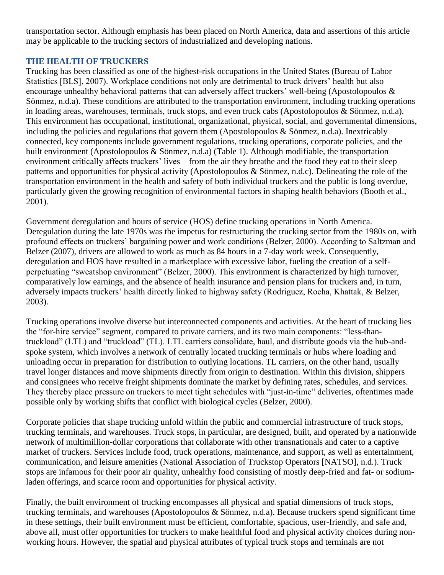transportation sector. Although emphasis has been placed on North America, data and assertions of this article may be applicable to the trucking sectors of industrialized and developing nations.

### **THE HEALTH OF TRUCKERS**

Trucking has been classified as one of the highest-risk occupations in the United States (Bureau of Labor Statistics [BLS], 2007). Workplace conditions not only are detrimental to truck drivers' health but also encourage unhealthy behavioral patterns that can adversely affect truckers' well-being (Apostolopoulos & Sönmez, n.d.a). These conditions are attributed to the transportation environment, including trucking operations in loading areas, warehouses, terminals, truck stops, and even truck cabs (Apostolopoulos & Sönmez, n.d.a). This environment has occupational, institutional, organizational, physical, social, and governmental dimensions, including the policies and regulations that govern them (Apostolopoulos & Sönmez, n.d.a). Inextricably connected, key components include government regulations, trucking operations, corporate policies, and the built environment (Apostolopoulos & Sönmez, n.d.a) (Table 1). Although modifiable, the transportation environment critically affects truckers' lives—from the air they breathe and the food they eat to their sleep patterns and opportunities for physical activity (Apostolopoulos & Sönmez, n.d.c). Delineating the role of the transportation environment in the health and safety of both individual truckers and the public is long overdue, particularly given the growing recognition of environmental factors in shaping health behaviors (Booth et al., 2001).

Government deregulation and hours of service (HOS) define trucking operations in North America. Deregulation during the late 1970s was the impetus for restructuring the trucking sector from the 1980s on, with profound effects on truckers' bargaining power and work conditions (Belzer, 2000). According to Saltzman and Belzer (2007), drivers are allowed to work as much as 84 hours in a 7-day work week. Consequently, deregulation and HOS have resulted in a marketplace with excessive labor, fueling the creation of a selfperpetuating "sweatshop environment" (Belzer, 2000). This environment is characterized by high turnover, comparatively low earnings, and the absence of health insurance and pension plans for truckers and, in turn, adversely impacts truckers' health directly linked to highway safety (Rodriguez, Rocha, Khattak, & Belzer, 2003).

Trucking operations involve diverse but interconnected components and activities. At the heart of trucking lies the "for-hire service" segment, compared to private carriers, and its two main components: "less-thantruckload" (LTL) and "truckload" (TL). LTL carriers consolidate, haul, and distribute goods via the hub-andspoke system, which involves a network of centrally located trucking terminals or hubs where loading and unloading occur in preparation for distribution to outlying locations. TL carriers, on the other hand, usually travel longer distances and move shipments directly from origin to destination. Within this division, shippers and consignees who receive freight shipments dominate the market by defining rates, schedules, and services. They thereby place pressure on truckers to meet tight schedules with "just-in-time" deliveries, oftentimes made possible only by working shifts that conflict with biological cycles (Belzer, 2000).

Corporate policies that shape trucking unfold within the public and commercial infrastructure of truck stops, trucking terminals, and warehouses. Truck stops, in particular, are designed, built, and operated by a nationwide network of multimillion-dollar corporations that collaborate with other transnationals and cater to a captive market of truckers. Services include food, truck operations, maintenance, and support, as well as entertainment, communication, and leisure amenities (National Association of Truckstop Operators [NATSO], n.d.). Truck stops are infamous for their poor air quality, unhealthy food consisting of mostly deep-fried and fat- or sodiumladen offerings, and scarce room and opportunities for physical activity.

Finally, the built environment of trucking encompasses all physical and spatial dimensions of truck stops, trucking terminals, and warehouses (Apostolopoulos & Sönmez, n.d.a). Because truckers spend significant time in these settings, their built environment must be efficient, comfortable, spacious, user-friendly, and safe and, above all, must offer opportunities for truckers to make healthful food and physical activity choices during nonworking hours. However, the spatial and physical attributes of typical truck stops and terminals are not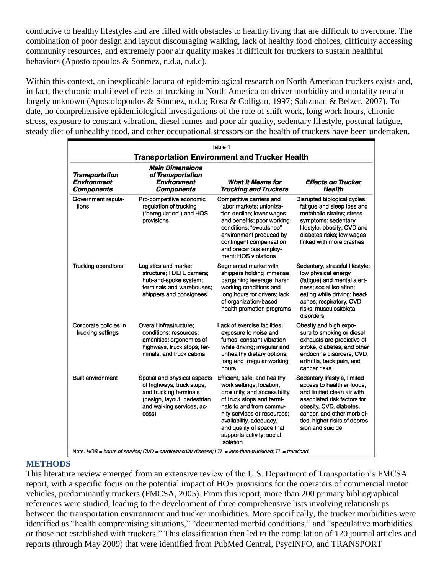conducive to healthy lifestyles and are filled with obstacles to healthy living that are difficult to overcome. The combination of poor design and layout discouraging walking, lack of healthy food choices, difficulty accessing community resources, and extremely poor air quality makes it difficult for truckers to sustain healthful behaviors (Apostolopoulos & Sönmez, n.d.a, n.d.c).

Within this context, an inexplicable lacuna of epidemiological research on North American truckers exists and, in fact, the chronic multilevel effects of trucking in North America on driver morbidity and mortality remain largely unknown (Apostolopoulos & Sönmez, n.d.a; Rosa & Colligan, 1997; Saltzman & Belzer, 2007). To date, no comprehensive epidemiological investigations of the role of shift work, long work hours, chronic stress, exposure to constant vibration, diesel fumes and poor air quality, sedentary lifestyle, postural fatigue, steady diet of unhealthy food, and other occupational stressors on the health of truckers have been undertaken.

| Table 1                                                          |                                                                                                                                                                                                                                                                          |                                                                                                                                                                                                                                                                                   |                                                                                                                                                                                                                                       |  |  |  |
|------------------------------------------------------------------|--------------------------------------------------------------------------------------------------------------------------------------------------------------------------------------------------------------------------------------------------------------------------|-----------------------------------------------------------------------------------------------------------------------------------------------------------------------------------------------------------------------------------------------------------------------------------|---------------------------------------------------------------------------------------------------------------------------------------------------------------------------------------------------------------------------------------|--|--|--|
| <b>Transportation Environment and Trucker Health</b>             |                                                                                                                                                                                                                                                                          |                                                                                                                                                                                                                                                                                   |                                                                                                                                                                                                                                       |  |  |  |
| <b>Transportation</b><br><b>Environment</b><br><b>Components</b> | <b>Main Dimensions</b><br>of Transportation<br><b>Environment</b><br><b>Components</b>                                                                                                                                                                                   | What It Means for<br><b>Trucking and Truckers</b>                                                                                                                                                                                                                                 | <b>Effects on Trucker</b><br>Health                                                                                                                                                                                                   |  |  |  |
| Government regula-<br>tions                                      | Pro-competitive economic<br>regulation of trucking<br>("deregulation") and HOS<br>provisions                                                                                                                                                                             | Competitive carriers and<br>labor markets; unioniza-<br>tion decline; lower wages<br>and benefits; poor working<br>conditions; "sweatshop"<br>environment produced by<br>contingent compensation<br>and precarious employ-<br>ment; HOS violations                                | Disrupted biological cycles;<br>fatigue and sleep loss and<br>metabolic strains; stress<br>symptoms; sedentary<br>lifestyle, obesity; CVD and<br>diabetes risks: low wages<br>linked with more crashes                                |  |  |  |
| Trucking operations                                              | Logistics and market<br>structure; TL/LTL carriers;<br>hub-and-spoke system;<br>terminals and warehouses:<br>shippers and consignees                                                                                                                                     | Segmented market with<br>shippers holding immense<br>bargaining leverage; harsh<br>working conditions and<br>long hours for drivers; lack<br>of organization-based<br>health promotion programs                                                                                   | Sedentary, stressful lifestyle;<br>low physical energy<br>(fatique) and mental alert-<br>ness; social isolation;<br>eating while driving; head-<br>aches; respiratory, CVD<br>risks; musculoskeletal<br>disorders                     |  |  |  |
| Corporate policies in<br>trucking settings                       | Overall infrastructure:<br>conditions: resources:<br>amenities; ergonomics of<br>highways, truck stops, ter-<br>minals, and truck cabins                                                                                                                                 | Lack of exercise facilities;<br>exposure to noise and<br>fumes: constant vibration<br>while driving; irregular and<br>unhealthy dietary options;<br>long and irregular working<br>hours                                                                                           | Obesity and high expo-<br>sure to smoking or diesel<br>exhausts are predictive of<br>stroke, diabetes, and other<br>endocrine disorders, CVD,<br>arthritis, back pain, and<br>cancer risks                                            |  |  |  |
| <b>Built environment</b>                                         | Spatial and physical aspects<br>of highways, truck stops,<br>and trucking terminals<br>(design, layout, pedestrian<br>and walking services, ac-<br>cess)<br>Note. HOS = hours of service; $CVD =$ cardiovascular disease; $LTL =$ less-than-truckload; $TL =$ truckload. | Efficient, safe, and healthy<br>work settings; location,<br>proximity, and accessibility<br>of truck stops and termi-<br>nals to and from commu-<br>nity services or resources;<br>availability, adequacy,<br>and quality of space that<br>supports activity; social<br>isolation | Sedentary lifestyle, limited<br>access to healthier foods,<br>and limited clean air with<br>associated risk factors for<br>obesity, CVD, diabetes,<br>cancer, and other morbidi-<br>ties; higher risks of depres-<br>sion and suicide |  |  |  |

#### **METHODS**

This literature review emerged from an extensive review of the U.S. Department of Transportation's FMCSA report, with a specific focus on the potential impact of HOS provisions for the operators of commercial motor vehicles, predominantly truckers (FMCSA, 2005). From this report, more than 200 primary bibliographical references were studied, leading to the development of three comprehensive lists involving relationships between the transportation environment and trucker morbidities. More specifically, the trucker morbidities were identified as "health compromising situations," "documented morbid conditions," and "speculative morbidities or those not established with truckers." This classification then led to the compilation of 120 journal articles and reports (through May 2009) that were identified from PubMed Central, PsycINFO, and TRANSPORT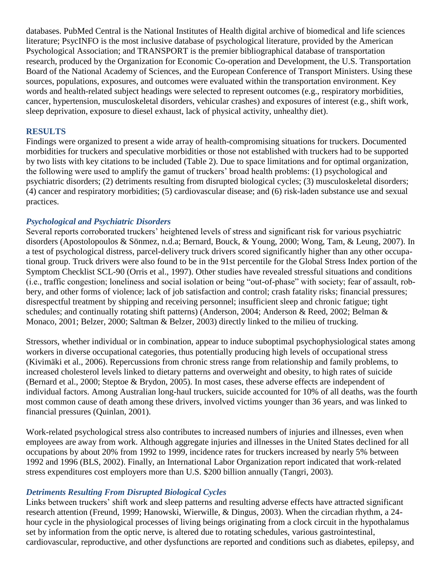databases. PubMed Central is the National Institutes of Health digital archive of biomedical and life sciences literature; PsycINFO is the most inclusive database of psychological literature, provided by the American Psychological Association; and TRANSPORT is the premier bibliographical database of transportation research, produced by the Organization for Economic Co-operation and Development, the U.S. Transportation Board of the National Academy of Sciences, and the European Conference of Transport Ministers. Using these sources, populations, exposures, and outcomes were evaluated within the transportation environment. Key words and health-related subject headings were selected to represent outcomes (e.g., respiratory morbidities, cancer, hypertension, musculoskeletal disorders, vehicular crashes) and exposures of interest (e.g., shift work, sleep deprivation, exposure to diesel exhaust, lack of physical activity, unhealthy diet).

### **RESULTS**

Findings were organized to present a wide array of health-compromising situations for truckers. Documented morbidities for truckers and speculative morbidities or those not established with truckers had to be supported by two lists with key citations to be included (Table 2). Due to space limitations and for optimal organization, the following were used to amplify the gamut of truckers' broad health problems: (1) psychological and psychiatric disorders; (2) detriments resulting from disrupted biological cycles; (3) musculoskeletal disorders; (4) cancer and respiratory morbidities; (5) cardiovascular disease; and (6) risk-laden substance use and sexual practices.

### *Psychological and Psychiatric Disorders*

Several reports corroborated truckers' heightened levels of stress and significant risk for various psychiatric disorders (Apostolopoulos & Sönmez, n.d.a; Bernard, Bouck, & Young, 2000; Wong, Tam, & Leung, 2007). In a test of psychological distress, parcel-delivery truck drivers scored significantly higher than any other occupational group. Truck drivers were also found to be in the 91st percentile for the Global Stress Index portion of the Symptom Checklist SCL-90 (Orris et al., 1997). Other studies have revealed stressful situations and conditions (i.e., traffic congestion; loneliness and social isolation or being "out-of-phase" with society; fear of assault, robbery, and other forms of violence; lack of job satisfaction and control; crash fatality risks; financial pressures; disrespectful treatment by shipping and receiving personnel; insufficient sleep and chronic fatigue; tight schedules; and continually rotating shift patterns) (Anderson, 2004; Anderson & Reed, 2002; Belman & Monaco, 2001; Belzer, 2000; Saltman & Belzer, 2003) directly linked to the milieu of trucking.

Stressors, whether individual or in combination, appear to induce suboptimal psychophysiological states among workers in diverse occupational categories, thus potentially producing high levels of occupational stress (Kivimäki et al., 2006). Repercussions from chronic stress range from relationship and family problems, to increased cholesterol levels linked to dietary patterns and overweight and obesity, to high rates of suicide (Bernard et al., 2000; Steptoe & Brydon, 2005). In most cases, these adverse effects are independent of individual factors. Among Australian long-haul truckers, suicide accounted for 10% of all deaths, was the fourth most common cause of death among these drivers, involved victims younger than 36 years, and was linked to financial pressures (Quinlan, 2001).

Work-related psychological stress also contributes to increased numbers of injuries and illnesses, even when employees are away from work. Although aggregate injuries and illnesses in the United States declined for all occupations by about 20% from 1992 to 1999, incidence rates for truckers increased by nearly 5% between 1992 and 1996 (BLS, 2002). Finally, an International Labor Organization report indicated that work-related stress expenditures cost employers more than U.S. \$200 billion annually (Tangri, 2003).

#### *Detriments Resulting From Disrupted Biological Cycles*

Links between truckers' shift work and sleep patterns and resulting adverse effects have attracted significant research attention (Freund, 1999; Hanowski, Wierwille, & Dingus, 2003). When the circadian rhythm, a 24 hour cycle in the physiological processes of living beings originating from a clock circuit in the hypothalamus set by information from the optic nerve, is altered due to rotating schedules, various gastrointestinal, cardiovascular, reproductive, and other dysfunctions are reported and conditions such as diabetes, epilepsy, and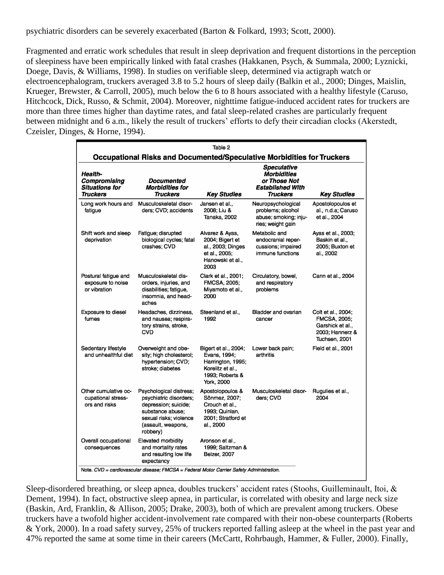psychiatric disorders can be severely exacerbated (Barton & Folkard, 1993; Scott, 2000).

Fragmented and erratic work schedules that result in sleep deprivation and frequent distortions in the perception of sleepiness have been empirically linked with fatal crashes (Hakkanen, Psych, & Summala, 2000; Lyznicki, Doege, Davis, & Williams, 1998). In studies on verifiable sleep, determined via actigraph watch or electroencephalogram, truckers averaged 3.8 to 5.2 hours of sleep daily (Balkin et al., 2000; Dinges, Maislin, Krueger, Brewster, & Carroll, 2005), much below the 6 to 8 hours associated with a healthy lifestyle (Caruso, Hitchcock, Dick, Russo, & Schmit, 2004). Moreover, nighttime fatigue-induced accident rates for truckers are more than three times higher than daytime rates, and fatal sleep-related crashes are particularly frequent between midnight and 6 a.m., likely the result of truckers' efforts to defy their circadian clocks (Akerstedt, Czeisler, Dinges, & Horne, 1994).

|                                                                        |                                                                                                                                                                               | Table 2                                                                                                        |                                                                                                        |                                                                                            |  |  |
|------------------------------------------------------------------------|-------------------------------------------------------------------------------------------------------------------------------------------------------------------------------|----------------------------------------------------------------------------------------------------------------|--------------------------------------------------------------------------------------------------------|--------------------------------------------------------------------------------------------|--|--|
| Occupational Risks and Documented/Speculative Morbidities for Truckers |                                                                                                                                                                               |                                                                                                                |                                                                                                        |                                                                                            |  |  |
| Health-<br>Compromising<br><b>Situations for</b><br>Truckers           | Documented<br><b>Morbidities for</b><br><b>Truckers</b>                                                                                                                       | <b>Key Studies</b>                                                                                             | <b>Speculative</b><br><b>Morbidities</b><br>or Those Not<br><b>Established With</b><br><b>Truckers</b> | <b>Key Studies</b>                                                                         |  |  |
| Long work hours and<br>fatigue                                         | Musculoskeletal disor-<br>ders; CVD; accidents                                                                                                                                | Jansen et al.,<br>2008: Liu &<br>Tanaka, 2002                                                                  | Neuropsychological<br>problems; alcohol<br>abuse; smoking; inju-<br>ries; weight gain                  | Apostolopoulos et<br>al., n.d.a; Caruso<br>et al., 2004                                    |  |  |
| Shift work and sleep<br>deprivation                                    | Fatigue; disrupted<br>biological cycles; fatal<br>crashes: CVD                                                                                                                | Alvarez & Ayas,<br>2004; Bigert et<br>al., 2003; Dinges<br>et al., 2005;<br>Hanowski et al.,<br>2003           | Metabolic and<br>endocranial reper-<br>cussions; impaired<br>immune functions                          | Ayas et al., 2003;<br>Baskin et al<br>2005; Buxton et<br>al., 2002                         |  |  |
| Postural fatigue and<br>exposure to noise<br>or vibration              | Musculoskeletal dis-<br>orders, injuries, and<br>disabilities; fatigue,<br>insomnia, and head-<br>aches                                                                       | Clark et al., 2001;<br><b>FMCSA, 2005;</b><br>Miyamoto et al.,<br>2000                                         | Circulatory, bowel,<br>and respiratory<br>problems                                                     | Cann et al., 2004                                                                          |  |  |
| <b>Exposure to diesel</b><br>fumes                                     | Headaches, dizziness,<br>and nausea; respira-<br>tory strains, stroke,<br><b>CVD</b>                                                                                          | Steenland et al.,<br>1992                                                                                      | Bladder and ovarian<br>cancer                                                                          | Colt et al., 2004;<br>FMCSA, 2005;<br>Garshick et al.,<br>2003; Hannerz &<br>Tuchsen, 2001 |  |  |
| Sedentary lifestyle<br>and unhealthful diet                            | Overweight and obe-<br>sity; high cholesterol;<br>hypertension; CVD;<br>stroke: diabetes                                                                                      | Bigert et al., 2004;<br>Evans, 1994;<br>Harrington, 1995;<br>Korelitz et al.,<br>1993; Roberts &<br>York, 2000 | Lower back pain;<br>arthritis                                                                          | Field et al., 2001                                                                         |  |  |
| Other cumulative oc-<br>cupational stress-<br>ors and risks            | Psychological distress;<br>psychiatric disorders:<br>depression; suicide;<br>substance abuse;<br>sexual risks; violence<br>(assault, weapons,<br>robbery)                     | Apostolopoulos &<br>Sönmez, 2007;<br>Crouch et al.,<br>1993; Quinlan,<br>2001; Stratford et<br>al., 2000       | Musculoskeletal disor-<br>ders: CVD                                                                    | Rugulies et al.,<br>2004                                                                   |  |  |
| Overall occupational<br>consequences                                   | Elevated morbidity<br>and mortality rates<br>and resulting low life<br>expectancy<br>Note. CVD = cardiovascular disease; FMCSA = Federal Motor Carrier Safety Administration. | Aronson et al.,<br>1999; Saltzman &<br><b>Belzer, 2007</b>                                                     |                                                                                                        |                                                                                            |  |  |

Sleep-disordered breathing, or sleep apnea, doubles truckers' accident rates (Stoohs, Guilleminault, Itoi, & Dement, 1994). In fact, obstructive sleep apnea, in particular, is correlated with obesity and large neck size (Baskin, Ard, Franklin, & Allison, 2005; Drake, 2003), both of which are prevalent among truckers. Obese truckers have a twofold higher accident-involvement rate compared with their non-obese counterparts (Roberts & York, 2000). In a road safety survey, 25% of truckers reported falling asleep at the wheel in the past year and 47% reported the same at some time in their careers (McCartt, Rohrbaugh, Hammer, & Fuller, 2000). Finally,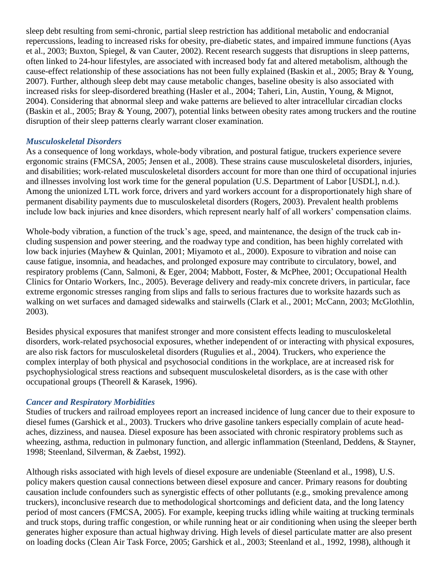sleep debt resulting from semi-chronic, partial sleep restriction has additional metabolic and endocranial repercussions, leading to increased risks for obesity, pre-diabetic states, and impaired immune functions (Ayas et al., 2003; Buxton, Spiegel, & van Cauter, 2002). Recent research suggests that disruptions in sleep patterns, often linked to 24-hour lifestyles, are associated with increased body fat and altered metabolism, although the cause-effect relationship of these associations has not been fully explained (Baskin et al., 2005; Bray & Young, 2007). Further, although sleep debt may cause metabolic changes, baseline obesity is also associated with increased risks for sleep-disordered breathing (Hasler et al., 2004; Taheri, Lin, Austin, Young, & Mignot, 2004). Considering that abnormal sleep and wake patterns are believed to alter intracellular circadian clocks (Baskin et al., 2005; Bray & Young, 2007), potential links between obesity rates among truckers and the routine disruption of their sleep patterns clearly warrant closer examination.

#### *Musculoskeletal Disorders*

As a consequence of long workdays, whole-body vibration, and postural fatigue, truckers experience severe ergonomic strains (FMCSA, 2005; Jensen et al., 2008). These strains cause musculoskeletal disorders, injuries, and disabilities; work-related musculoskeletal disorders account for more than one third of occupational injuries and illnesses involving lost work time for the general population (U.S. Department of Labor [USDL], n.d.). Among the unionized LTL work force, drivers and yard workers account for a disproportionately high share of permanent disability payments due to musculoskeletal disorders (Rogers, 2003). Prevalent health problems include low back injuries and knee disorders, which represent nearly half of all workers' compensation claims.

Whole-body vibration, a function of the truck's age, speed, and maintenance, the design of the truck cab including suspension and power steering, and the roadway type and condition, has been highly correlated with low back injuries (Mayhew & Quinlan, 2001; Miyamoto et al., 2000). Exposure to vibration and noise can cause fatigue, insomnia, and headaches, and prolonged exposure may contribute to circulatory, bowel, and respiratory problems (Cann, Salmoni, & Eger, 2004; Mabbott, Foster, & McPhee, 2001; Occupational Health Clinics for Ontario Workers, Inc., 2005). Beverage delivery and ready-mix concrete drivers, in particular, face extreme ergonomic stresses ranging from slips and falls to serious fractures due to worksite hazards such as walking on wet surfaces and damaged sidewalks and stairwells (Clark et al., 2001; McCann, 2003; McGlothlin, 2003).

Besides physical exposures that manifest stronger and more consistent effects leading to musculoskeletal disorders, work-related psychosocial exposures, whether independent of or interacting with physical exposures, are also risk factors for musculoskeletal disorders (Rugulies et al., 2004). Truckers, who experience the complex interplay of both physical and psychosocial conditions in the workplace, are at increased risk for psychophysiological stress reactions and subsequent musculoskeletal disorders, as is the case with other occupational groups (Theorell & Karasek, 1996).

#### *Cancer and Respiratory Morbidities*

Studies of truckers and railroad employees report an increased incidence of lung cancer due to their exposure to diesel fumes (Garshick et al., 2003). Truckers who drive gasoline tankers especially complain of acute headaches, dizziness, and nausea. Diesel exposure has been associated with chronic respiratory problems such as wheezing, asthma, reduction in pulmonary function, and allergic inflammation (Steenland, Deddens, & Stayner, 1998; Steenland, Silverman, & Zaebst, 1992).

Although risks associated with high levels of diesel exposure are undeniable (Steenland et al., 1998), U.S. policy makers question causal connections between diesel exposure and cancer. Primary reasons for doubting causation include confounders such as synergistic effects of other pollutants (e.g., smoking prevalence among truckers), inconclusive research due to methodological shortcomings and deficient data, and the long latency period of most cancers (FMCSA, 2005). For example, keeping trucks idling while waiting at trucking terminals and truck stops, during traffic congestion, or while running heat or air conditioning when using the sleeper berth generates higher exposure than actual highway driving. High levels of diesel particulate matter are also present on loading docks (Clean Air Task Force, 2005; Garshick et al., 2003; Steenland et al., 1992, 1998), although it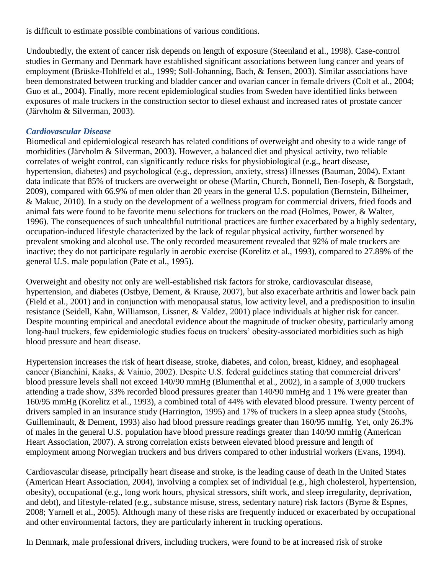is difficult to estimate possible combinations of various conditions.

Undoubtedly, the extent of cancer risk depends on length of exposure (Steenland et al., 1998). Case-control studies in Germany and Denmark have established significant associations between lung cancer and years of employment (Brüske-Hohlfeld et al., 1999; Soll-Johanning, Bach, & Jensen, 2003). Similar associations have been demonstrated between trucking and bladder cancer and ovarian cancer in female drivers (Colt et al., 2004; Guo et al., 2004). Finally, more recent epidemiological studies from Sweden have identified links between exposures of male truckers in the construction sector to diesel exhaust and increased rates of prostate cancer (Järvholm & Silverman, 2003).

### *Cardiovascular Disease*

Biomedical and epidemiological research has related conditions of overweight and obesity to a wide range of morbidities (Järvholm & Silverman, 2003). However, a balanced diet and physical activity, two reliable correlates of weight control, can significantly reduce risks for physiobiological (e.g., heart disease, hypertension, diabetes) and psychological (e.g., depression, anxiety, stress) illnesses (Bauman, 2004). Extant data indicate that 85% of truckers are overweight or obese (Martin, Church, Bonnell, Ben-Joseph, & Borgstadt, 2009), compared with 66.9% of men older than 20 years in the general U.S. population (Bernstein, Bilheimer, & Makuc, 2010). In a study on the development of a wellness program for commercial drivers, fried foods and animal fats were found to be favorite menu selections for truckers on the road (Holmes, Power, & Walter, 1996). The consequences of such unhealthful nutritional practices are further exacerbated by a highly sedentary, occupation-induced lifestyle characterized by the lack of regular physical activity, further worsened by prevalent smoking and alcohol use. The only recorded measurement revealed that 92% of male truckers are inactive; they do not participate regularly in aerobic exercise (Korelitz et al., 1993), compared to 27.89% of the general U.S. male population (Pate et al., 1995).

Overweight and obesity not only are well-established risk factors for stroke, cardiovascular disease, hypertension, and diabetes (Ostbye, Dement, & Krause, 2007), but also exacerbate arthritis and lower back pain (Field et al., 2001) and in conjunction with menopausal status, low activity level, and a predisposition to insulin resistance (Seidell, Kahn, Williamson, Lissner, & Valdez, 2001) place individuals at higher risk for cancer. Despite mounting empirical and anecdotal evidence about the magnitude of trucker obesity, particularly among long-haul truckers, few epidemiologic studies focus on truckers' obesity-associated morbidities such as high blood pressure and heart disease.

Hypertension increases the risk of heart disease, stroke, diabetes, and colon, breast, kidney, and esophageal cancer (Bianchini, Kaaks, & Vainio, 2002). Despite U.S. federal guidelines stating that commercial drivers' blood pressure levels shall not exceed 140/90 mmHg (Blumenthal et al., 2002), in a sample of 3,000 truckers attending a trade show, 33% recorded blood pressures greater than 140/90 mmHg and 1 1% were greater than 160/95 mmHg (Korelitz et al., 1993), a combined total of 44% with elevated blood pressure. Twenty percent of drivers sampled in an insurance study (Harrington, 1995) and 17% of truckers in a sleep apnea study (Stoohs, Guilleminault, & Dement, 1993) also had blood pressure readings greater than 160/95 mmHg. Yet, only 26.3% of males in the general U.S. population have blood pressure readings greater than 140/90 mmHg (American Heart Association, 2007). A strong correlation exists between elevated blood pressure and length of employment among Norwegian truckers and bus drivers compared to other industrial workers (Evans, 1994).

Cardiovascular disease, principally heart disease and stroke, is the leading cause of death in the United States (American Heart Association, 2004), involving a complex set of individual (e.g., high cholesterol, hypertension, obesity), occupational (e.g., long work hours, physical stressors, shift work, and sleep irregularity, deprivation, and debt), and lifestyle-related (e.g., substance misuse, stress, sedentary nature) risk factors (Byrne & Espnes, 2008; Yarnell et al., 2005). Although many of these risks are frequently induced or exacerbated by occupational and other environmental factors, they are particularly inherent in trucking operations.

In Denmark, male professional drivers, including truckers, were found to be at increased risk of stroke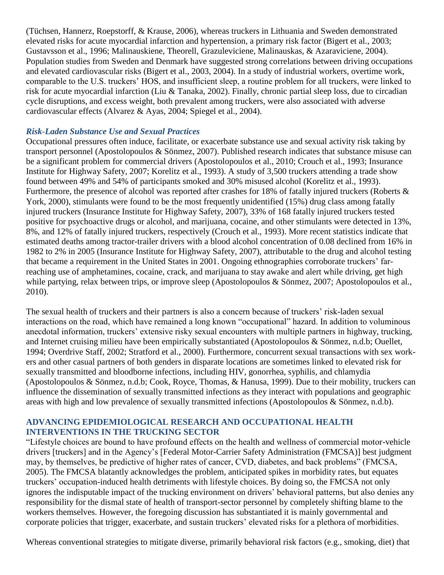(Tüchsen, Hannerz, Roepstorff, & Krause, 2006), whereas truckers in Lithuania and Sweden demonstrated elevated risks for acute myocardial infarction and hypertension, a primary risk factor (Bigert et al., 2003; Gustavsson et al., 1996; Malinauskiene, Theorell, Grazuleviciene, Malinauskas, & Azaraviciene, 2004). Population studies from Sweden and Denmark have suggested strong correlations between driving occupations and elevated cardiovascular risks (Bigert et al., 2003, 2004). In a study of industrial workers, overtime work, comparable to the U.S. truckers' HOS, and insufficient sleep, a routine problem for all truckers, were linked to risk for acute myocardial infarction (Liu & Tanaka, 2002). Finally, chronic partial sleep loss, due to circadian cycle disruptions, and excess weight, both prevalent among truckers, were also associated with adverse cardiovascular effects (Alvarez & Ayas, 2004; Spiegel et al., 2004).

## *Risk-Laden Substance Use and Sexual Practices*

Occupational pressures often induce, facilitate, or exacerbate substance use and sexual activity risk taking by transport personnel (Apostolopoulos & Sönmez, 2007). Published research indicates that substance misuse can be a significant problem for commercial drivers (Apostolopoulos et al., 2010; Crouch et al., 1993; Insurance Institute for Highway Safety, 2007; Korelitz et al., 1993). A study of 3,500 truckers attending a trade show found between 49% and 54% of participants smoked and 30% misused alcohol (Korelitz et al., 1993). Furthermore, the presence of alcohol was reported after crashes for 18% of fatally injured truckers (Roberts & York, 2000), stimulants were found to be the most frequently unidentified (15%) drug class among fatally injured truckers (Insurance Institute for Highway Safety, 2007), 33% of 168 fatally injured truckers tested positive for psychoactive drugs or alcohol, and marijuana, cocaine, and other stimulants were detected in 13%, 8%, and 12% of fatally injured truckers, respectively (Crouch et al., 1993). More recent statistics indicate that estimated deaths among tractor-trailer drivers with a blood alcohol concentration of 0.08 declined from 16% in 1982 to 2% in 2005 (Insurance Institute for Highway Safety, 2007), attributable to the drug and alcohol testing that became a requirement in the United States in 2001. Ongoing ethnographies corroborate truckers' farreaching use of amphetamines, cocaine, crack, and marijuana to stay awake and alert while driving, get high while partying, relax between trips, or improve sleep (Apostolopoulos & Sönmez, 2007; Apostolopoulos et al., 2010).

The sexual health of truckers and their partners is also a concern because of truckers' risk-laden sexual interactions on the road, which have remained a long known "occupational" hazard. In addition to voluminous anecdotal information, truckers' extensive risky sexual encounters with multiple partners in highway, trucking, and Internet cruising milieu have been empirically substantiated (Apostolopoulos & Sönmez, n.d.b; Ouellet, 1994; Overdrive Staff, 2002; Stratford et al., 2000). Furthermore, concurrent sexual transactions with sex workers and other casual partners of both genders in disparate locations are sometimes linked to elevated risk for sexually transmitted and bloodborne infections, including HIV, gonorrhea, syphilis, and chlamydia (Apostolopoulos & Sönmez, n.d.b; Cook, Royce, Thomas, & Hanusa, 1999). Due to their mobility, truckers can influence the dissemination of sexually transmitted infections as they interact with populations and geographic areas with high and low prevalence of sexually transmitted infections (Apostolopoulos & Sönmez, n.d.b).

# **ADVANCING EPIDEMIOLOGICAL RESEARCH AND OCCUPATIONAL HEALTH INTERVENTIONS IN THE TRUCKING SECTOR**

"Lifestyle choices are bound to have profound effects on the health and wellness of commercial motor-vehicle drivers [truckers] and in the Agency's [Federal Motor-Carrier Safety Administration (FMCSA)] best judgment may, by themselves, be predictive of higher rates of cancer, CVD, diabetes, and back problems" (FMCSA, 2005). The FMCSA blatantly acknowledges the problem, anticipated spikes in morbidity rates, but equates truckers' occupation-induced health detriments with lifestyle choices. By doing so, the FMCSA not only ignores the indisputable impact of the trucking environment on drivers' behavioral patterns, but also denies any responsibility for the dismal state of health of transport-sector personnel by completely shifting blame to the workers themselves. However, the foregoing discussion has substantiated it is mainly governmental and corporate policies that trigger, exacerbate, and sustain truckers' elevated risks for a plethora of morbidities.

Whereas conventional strategies to mitigate diverse, primarily behavioral risk factors (e.g., smoking, diet) that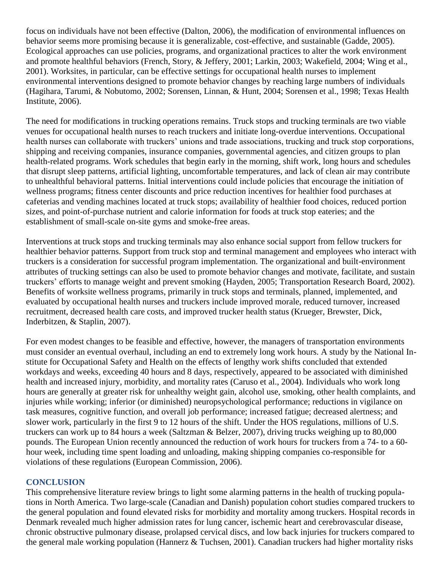focus on individuals have not been effective (Dalton, 2006), the modification of environmental influences on behavior seems more promising because it is generalizable, cost-effective, and sustainable (Gadde, 2005). Ecological approaches can use policies, programs, and organizational practices to alter the work environment and promote healthful behaviors (French, Story, & Jeffery, 2001; Larkin, 2003; Wakefield, 2004; Wing et al., 2001). Worksites, in particular, can be effective settings for occupational health nurses to implement environmental interventions designed to promote behavior changes by reaching large numbers of individuals (Hagihara, Tarumi, & Nobutomo, 2002; Sorensen, Linnan, & Hunt, 2004; Sorensen et al., 1998; Texas Health Institute, 2006).

The need for modifications in trucking operations remains. Truck stops and trucking terminals are two viable venues for occupational health nurses to reach truckers and initiate long-overdue interventions. Occupational health nurses can collaborate with truckers' unions and trade associations, trucking and truck stop corporations, shipping and receiving companies, insurance companies, governmental agencies, and citizen groups to plan health-related programs. Work schedules that begin early in the morning, shift work, long hours and schedules that disrupt sleep patterns, artificial lighting, uncomfortable temperatures, and lack of clean air may contribute to unhealthful behavioral patterns. Initial interventions could include policies that encourage the initiation of wellness programs; fitness center discounts and price reduction incentives for healthier food purchases at cafeterias and vending machines located at truck stops; availability of healthier food choices, reduced portion sizes, and point-of-purchase nutrient and calorie information for foods at truck stop eateries; and the establishment of small-scale on-site gyms and smoke-free areas.

Interventions at truck stops and trucking terminals may also enhance social support from fellow truckers for healthier behavior patterns. Support from truck stop and terminal management and employees who interact with truckers is a consideration for successful program implementation. The organizational and built-environment attributes of trucking settings can also be used to promote behavior changes and motivate, facilitate, and sustain truckers' efforts to manage weight and prevent smoking (Hayden, 2005; Transportation Research Board, 2002). Benefits of worksite wellness programs, primarily in truck stops and terminals, planned, implemented, and evaluated by occupational health nurses and truckers include improved morale, reduced turnover, increased recruitment, decreased health care costs, and improved trucker health status (Krueger, Brewster, Dick, Inderbitzen, & Staplin, 2007).

For even modest changes to be feasible and effective, however, the managers of transportation environments must consider an eventual overhaul, including an end to extremely long work hours. A study by the National Institute for Occupational Safety and Health on the effects of lengthy work shifts concluded that extended workdays and weeks, exceeding 40 hours and 8 days, respectively, appeared to be associated with diminished health and increased injury, morbidity, and mortality rates (Caruso et al., 2004). Individuals who work long hours are generally at greater risk for unhealthy weight gain, alcohol use, smoking, other health complaints, and injuries while working; inferior (or diminished) neuropsychological performance; reductions in vigilance on task measures, cognitive function, and overall job performance; increased fatigue; decreased alertness; and slower work, particularly in the first 9 to 12 hours of the shift. Under the HOS regulations, millions of U.S. truckers can work up to 84 hours a week (Saltzman & Belzer, 2007), driving trucks weighing up to 80,000 pounds. The European Union recently announced the reduction of work hours for truckers from a 74- to a 60 hour week, including time spent loading and unloading, making shipping companies co-responsible for violations of these regulations (European Commission, 2006).

#### **CONCLUSION**

This comprehensive literature review brings to light some alarming patterns in the health of trucking populations in North America. Two large-scale (Canadian and Danish) population cohort studies compared truckers to the general population and found elevated risks for morbidity and mortality among truckers. Hospital records in Denmark revealed much higher admission rates for lung cancer, ischemic heart and cerebrovascular disease, chronic obstructive pulmonary disease, prolapsed cervical discs, and low back injuries for truckers compared to the general male working population (Hannerz & Tuchsen, 2001). Canadian truckers had higher mortality risks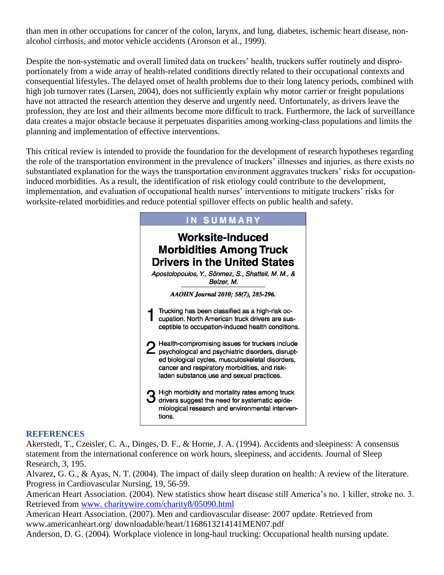than men in other occupations for cancer of the colon, larynx, and lung, diabetes, ischemic heart disease, nonalcohol cirrhosis, and motor vehicle accidents (Aronson et al., 1999).

Despite the non-systematic and overall limited data on truckers' health, truckers suffer routinely and disproportionately from a wide array of health-related conditions directly related to their occupational contexts and consequential lifestyles. The delayed onset of health problems due to their long latency periods, combined with high job turnover rates (Larsen, 2004), does not sufficiently explain why motor carrier or freight populations have not attracted the research attention they deserve and urgently need. Unfortunately, as drivers leave the profession, they are lost and their ailments become more difficult to track. Furthermore, the lack of surveillance data creates a major obstacle because it perpetuates disparities among working-class populations and limits the planning and implementation of effective interventions.

This critical review is intended to provide the foundation for the development of research hypotheses regarding the role of the transportation environment in the prevalence of truckers' illnesses and injuries, as there exists no substantiated explanation for the ways the transportation environment aggravates truckers' risks for occupationinduced morbidities. As a result, the identification of risk etiology could contribute to the development, implementation, and evaluation of occupational health nurses' interventions to mitigate truckers' risks for worksite-related morbidities and reduce potential spillover effects on public health and safety.



#### **REFERENCES**

Akerstedt, T., Czeisler, C. A., Dinges, D. F., & Horne, J. A. (1994). Accidents and sleepiness: A consensus statement from the international conference on work hours, sleepiness, and accidents. Journal of Sleep Research, 3, 195.

Alvarez, G. G., & Ayas, N. T. (2004). The impact of daily sleep duration on health: A review of the literature. Progress in Cardiovascular Nursing, 19, 56-59.

American Heart Association. (2004). New statistics show heart disease still America's no. 1 killer, stroke no. 3. Retrieved from [www. charitywire.com/charity8/05090.html](http://www.charitywire.com/charity8/05090.html)

American Heart Association. (2007). Men and cardiovascular disease: 2007 update. Retrieved from www.americanheart.org/ downloadable/heart/1168613214141MEN07.pdf

Anderson, D. G. (2004). Workplace violence in long-haul trucking: Occupational health nursing update.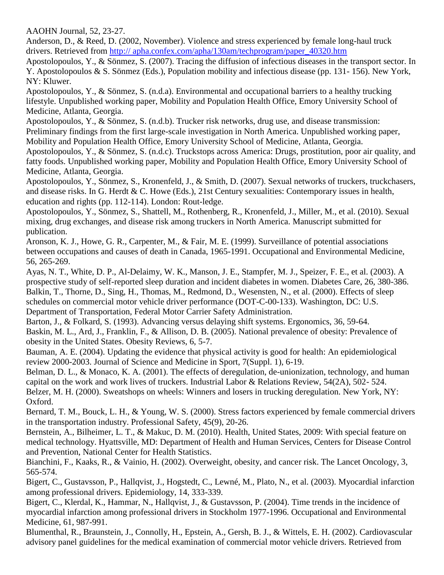AAOHN Journal, 52, 23-27.

Anderson, D., & Reed, D. (2002, November). Violence and stress experienced by female long-haul truck drivers. Retrieved from [http:// apha.confex.com/apha/130am/techprogram/paper\\_40320.htm](http://apha.confex.com/apha/130am/techprogram/paper_40320.htm)

Apostolopoulos, Y., & Sönmez, S. (2007). Tracing the diffusion of infectious diseases in the transport sector. In Y. Apostolopoulos & S. Sönmez (Eds.), Population mobility and infectious disease (pp. 131- 156). New York, NY: Kluwer.

Apostolopoulos, Y., & Sönmez, S. (n.d.a). Environmental and occupational barriers to a healthy trucking lifestyle. Unpublished working paper, Mobility and Population Health Office, Emory University School of Medicine, Atlanta, Georgia.

Apostolopoulos, Y., & Sönmez, S. (n.d.b). Trucker risk networks, drug use, and disease transmission: Preliminary findings from the first large-scale investigation in North America. Unpublished working paper, Mobility and Population Health Office, Emory University School of Medicine, Atlanta, Georgia.

Apostolopoulos, Y., & Sönmez, S. (n.d.c). Truckstops across America: Drugs, prostitution, poor air quality, and fatty foods. Unpublished working paper, Mobility and Population Health Office, Emory University School of Medicine, Atlanta, Georgia.

Apostolopoulos, Y., Sönmez, S., Kronenfeld, J., & Smith, D. (2007). Sexual networks of truckers, truckchasers, and disease risks. In G. Herdt & C. Howe (Eds.), 21st Century sexualities: Contemporary issues in health, education and rights (pp. 112-114). London: Rout-ledge.

Apostolopoulos, Y., Sönmez, S., Shattell, M., Rothenberg, R., Kronenfeld, J., Miller, M., et al. (2010). Sexual mixing, drug exchanges, and disease risk among truckers in North America. Manuscript submitted for publication.

Aronson, K. J., Howe, G. R., Carpenter, M., & Fair, M. E. (1999). Surveillance of potential associations between occupations and causes of death in Canada, 1965-1991. Occupational and Environmental Medicine, 56, 265-269.

Ayas, N. T., White, D. P., Al-Delaimy, W. K., Manson, J. E., Stampfer, M. J., Speizer, F. E., et al. (2003). A prospective study of self-reported sleep duration and incident diabetes in women. Diabetes Care, 26, 380-386. Balkin, T., Thorne, D., Sing, H., Thomas, M., Redmond, D., Wesensten, N., et al. (2000). Effects of sleep schedules on commercial motor vehicle driver performance (DOT-C-00-133). Washington, DC: U.S. Department of Transportation, Federal Motor Carrier Safety Administration.

Barton, J., & Folkard, S. (1993). Advancing versus delaying shift systems. Ergonomics, 36, 59-64. Baskin, M. L., Ard, J., Franklin, F., & Allison, D. B. (2005). National prevalence of obesity: Prevalence of obesity in the United States. Obesity Reviews, 6, 5-7.

Bauman, A. E. (2004). Updating the evidence that physical activity is good for health: An epidemiological review 2000-2003. Journal of Science and Medicine in Sport, 7(Suppl. 1), 6-19.

Belman, D. L., & Monaco, K. A. (2001). The effects of deregulation, de-unionization, technology, and human capital on the work and work lives of truckers. Industrial Labor & Relations Review, 54(2A), 502- 524. Belzer, M. H. (2000). Sweatshops on wheels: Winners and losers in trucking deregulation. New York, NY: Oxford.

Bernard, T. M., Bouck, L. H., & Young, W. S. (2000). Stress factors experienced by female commercial drivers in the transportation industry. Professional Safety, 45(9), 20-26.

Bernstein, A., Bilheimer, L. T., & Makuc, D. M. (2010). Health, United States, 2009: With special feature on medical technology. Hyattsville, MD: Department of Health and Human Services, Centers for Disease Control and Prevention, National Center for Health Statistics.

Bianchini, F., Kaaks, R., & Vainio, H. (2002). Overweight, obesity, and cancer risk. The Lancet Oncology, 3, 565-574.

Bigert, C., Gustavsson, P., Hallqvist, J., Hogstedt, C., Lewné, M., Plato, N., et al. (2003). Myocardial infarction among professional drivers. Epidemiology, 14, 333-339.

Bigert, C., Klerdal, K., Hammar, N., Hallqvist, J., & Gustavsson, P. (2004). Time trends in the incidence of myocardial infarction among professional drivers in Stockholm 1977-1996. Occupational and Environmental Medicine, 61, 987-991.

Blumenthal, R., Braunstein, J., Connolly, H., Epstein, A., Gersh, B. J., & Wittels, E. H. (2002). Cardiovascular advisory panel guidelines for the medical examination of commercial motor vehicle drivers. Retrieved from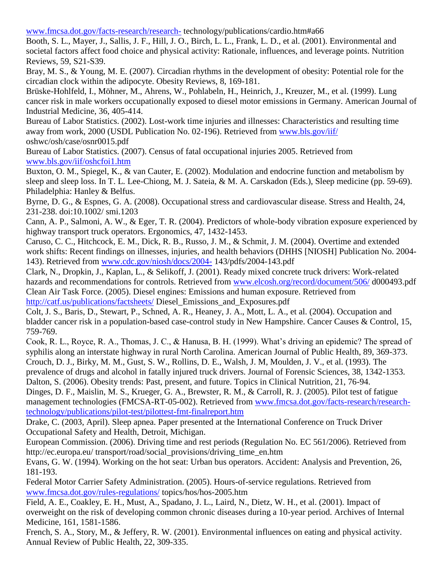[www.fmcsa.dot.gov/facts-research/research-](http://www.fmcsa.dot.gov/facts-research/research-) technology/publications/cardio.htm#a66

Booth, S. L., Mayer, J., Sallis, J. F., Hill, J. O., Birch, L. L., Frank, L. D., et al. (2001). Environmental and societal factors affect food choice and physical activity: Rationale, influences, and leverage points. Nutrition Reviews, 59, S21-S39.

Bray, M. S., & Young, M. E. (2007). Circadian rhythms in the development of obesity: Potential role for the circadian clock within the adipocyte. Obesity Reviews, 8, 169-181.

Brüske-Hohlfeld, I., Möhner, M., Ahrens, W., Pohlabeln, H., Heinrich, J., Kreuzer, M., et al. (1999). Lung cancer risk in male workers occupationally exposed to diesel motor emissions in Germany. American Journal of Industrial Medicine, 36, 405-414.

Bureau of Labor Statistics. (2002). Lost-work time injuries and illnesses: Characteristics and resulting time away from work, 2000 (USDL Publication No. 02-196). Retrieved from [www.bls.gov/iif/](http://www.bls.gov/iif/) oshwc/osh/case/osnr0015.pdf

Bureau of Labor Statistics. (2007). Census of fatal occupational injuries 2005. Retrieved from [www.bls.gov/iif/oshcfoi1.htm](http://www.bls.gov/iif/oshcfoi1.htm)

Buxton, O. M., Spiegel, K., & van Cauter, E. (2002). Modulation and endocrine function and metabolism by sleep and sleep loss. In T. L. Lee-Chiong, M. J. Sateia, & M. A. Carskadon (Eds.), Sleep medicine (pp. 59-69). Philadelphia: Hanley & Belfus.

Byrne, D. G., & Espnes, G. A. (2008). Occupational stress and cardiovascular disease. Stress and Health, 24, 231-238. doi:10.1002/ smi.1203

Cann, A. P., Salmoni, A. W., & Eger, T. R. (2004). Predictors of whole-body vibration exposure experienced by highway transport truck operators. Ergonomics, 47, 1432-1453.

Caruso, C. C., Hitchcock, E. M., Dick, R. B., Russo, J. M., & Schmit, J. M. (2004). Overtime and extended work shifts: Recent findings on illnesses, injuries, and health behaviors (DHHS [NIOSH] Publication No. 2004- 143). Retrieved from [www.cdc.gov/niosh/docs/2004-](http://www.cdc.gov/niosh/docs/2004-) 143/pdfs/2004-143.pdf

Clark, N., Dropkin, J., Kaplan, L., & Selikoff, J. (2001). Ready mixed concrete truck drivers: Work-related hazards and recommendations for controls. Retrieved from [www.elcosh.org/record/document/506/](http://www.elcosh.org/record/document/506/) d000493.pdf Clean Air Task Force. (2005). Diesel engines: Emissions and human exposure. Retrieved from <http://catf.us/publications/factsheets/> Diesel\_Emissions\_and\_Exposures.pdf

Colt, J. S., Baris, D., Stewart, P., Schned, A. R., Heaney, J. A., Mott, L. A., et al. (2004). Occupation and bladder cancer risk in a population-based case-control study in New Hampshire. Cancer Causes & Control, 15, 759-769.

Cook, R. L., Royce, R. A., Thomas, J. C., & Hanusa, B. H. (1999). What's driving an epidemic? The spread of syphilis along an interstate highway in rural North Carolina. American Journal of Public Health, 89, 369-373. Crouch, D. J., Birky, M. M., Gust, S. W., Rollins, D. E., Walsh, J. M, Moulden, J. V., et al. (1993). The prevalence of drugs and alcohol in fatally injured truck drivers. Journal of Forensic Sciences, 38, 1342-1353.

Dalton, S. (2006). Obesity trends: Past, present, and future. Topics in Clinical Nutrition, 21, 76-94. Dinges, D. F., Maislin, M. S., Krueger, G. A., Brewster, R. M., & Carroll, R. J. (2005). Pilot test of fatigue management technologies (FMCSA-RT-05-002). Retrieved from [www.fmcsa.dot.gov/facts-research/research](http://www.fmcsa.dot.gov/facts-research/research-technology/publications/pilot-test/pilottest-fmt-finalreport.htm)[technology/publications/pilot-test/pilottest-fmt-finalreport.htm](http://www.fmcsa.dot.gov/facts-research/research-technology/publications/pilot-test/pilottest-fmt-finalreport.htm)

Drake, C. (2003, April). Sleep apnea. Paper presented at the International Conference on Truck Driver Occupational Safety and Health, Detroit, Michigan.

European Commission. (2006). Driving time and rest periods (Regulation No. EC 561/2006). Retrieved from http://ec.europa.eu/ transport/road/social\_provisions/driving\_time\_en.htm

Evans, G. W. (1994). Working on the hot seat: Urban bus operators. Accident: Analysis and Prevention, 26, 181-193.

Federal Motor Carrier Safety Administration. (2005). Hours-of-service regulations. Retrieved from [www.fmcsa.dot.gov/rules-regulations/](http://www.fmcsa.dot.gov/rules-regulations/) topics/hos/hos-2005.htm

Field, A. E., Coakley, E. H., Must, A., Spadano, J. L., Laird, N., Dietz, W. H., et al. (2001). Impact of overweight on the risk of developing common chronic diseases during a 10-year period. Archives of Internal Medicine, 161, 1581-1586.

French, S. A., Story, M., & Jeffery, R. W. (2001). Environmental influences on eating and physical activity. Annual Review of Public Health, 22, 309-335.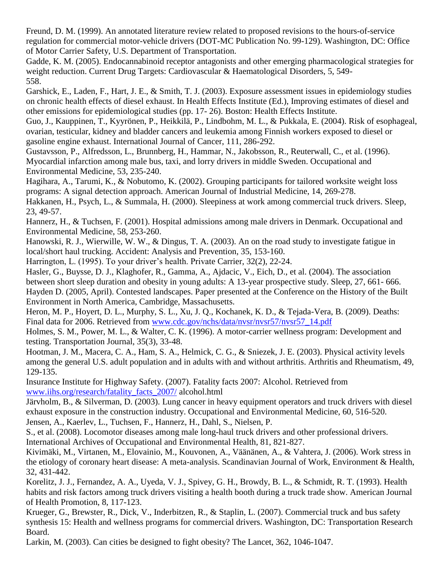Freund, D. M. (1999). An annotated literature review related to proposed revisions to the hours-of-service regulation for commercial motor-vehicle drivers (DOT-MC Publication No. 99-129). Washington, DC: Office of Motor Carrier Safety, U.S. Department of Transportation.

Gadde, K. M. (2005). Endocannabinoid receptor antagonists and other emerging pharmacological strategies for weight reduction. Current Drug Targets: Cardiovascular & Haematological Disorders, 5, 549- 558.

Garshick, E., Laden, F., Hart, J. E., & Smith, T. J. (2003). Exposure assessment issues in epidemiology studies on chronic health effects of diesel exhaust. In Health Effects Institute (Ed.), Improving estimates of diesel and other emissions for epidemiological studies (pp. 17- 26). Boston: Health Effects Institute.

Guo, J., Kauppinen, T., Kyyrönen, P., Heikkilä, P., Lindbohm, M. L., & Pukkala, E. (2004). Risk of esophageal, ovarian, testicular, kidney and bladder cancers and leukemia among Finnish workers exposed to diesel or gasoline engine exhaust. International Journal of Cancer, 111, 286-292.

Gustavsson, P., Alfredsson, L., Brunnberg, H., Hammar, N., Jakobsson, R., Reuterwall, C., et al. (1996). Myocardial infarction among male bus, taxi, and lorry drivers in middle Sweden. Occupational and Environmental Medicine, 53, 235-240.

Hagihara, A., Tarumi, K., & Nobutomo, K. (2002). Grouping participants for tailored worksite weight loss programs: A signal detection approach. American Journal of Industrial Medicine, 14, 269-278.

Hakkanen, H., Psych, L., & Summala, H. (2000). Sleepiness at work among commercial truck drivers. Sleep, 23, 49-57.

Hannerz, H., & Tuchsen, F. (2001). Hospital admissions among male drivers in Denmark. Occupational and Environmental Medicine, 58, 253-260.

Hanowski, R. J., Wierwille, W. W., & Dingus, T. A. (2003). An on the road study to investigate fatigue in local/short haul trucking. Accident: Analysis and Prevention, 35, 153-160.

Harrington, L. (1995). To your driver's health. Private Carrier, 32(2), 22-24.

Hasler, G., Buysse, D. J., Klaghofer, R., Gamma, A., Ajdacic, V., Eich, D., et al. (2004). The association between short sleep duration and obesity in young adults: A 13-year prospective study. Sleep, 27, 661- 666. Hayden D. (2005, April). Contested landscapes. Paper presented at the Conference on the History of the Built Environment in North America, Cambridge, Massachusetts.

Heron, M. P., Hoyert, D. L., Murphy, S. L., Xu, J. Q., Kochanek, K. D., & Tejada-Vera, B. (2009). Deaths: Final data for 2006. Retrieved from [www.cdc.gov/nchs/data/nvsr/nvsr57/nvsr57\\_14.pdf](http://www.cdc.gov/nchs/data/nvsr/nvsr57/nvsr57_14.pdf)

Holmes, S. M., Power, M. L., & Walter, C. K. (1996). A motor-carrier wellness program: Development and testing. Transportation Journal, 35(3), 33-48.

Hootman, J. M., Macera, C. A., Ham, S. A., Helmick, C. G., & Sniezek, J. E. (2003). Physical activity levels among the general U.S. adult population and in adults with and without arthritis. Arthritis and Rheumatism, 49, 129-135.

Insurance Institute for Highway Safety. (2007). Fatality facts 2007: Alcohol. Retrieved from [www.iihs.org/research/fatality\\_facts\\_2007/](http://www.iihs.org/research/fatality_facts_2007/) alcohol.html

Järvholm, B., & Silverman, D. (2003). Lung cancer in heavy equipment operators and truck drivers with diesel exhaust exposure in the construction industry. Occupational and Environmental Medicine, 60, 516-520. Jensen, A., Kaerlev, L., Tuchsen, F., Hannerz, H., Dahl, S., Nielsen, P.

S., et al. (2008). Locomotor diseases among male long-haul truck drivers and other professional drivers. International Archives of Occupational and Environmental Health, 81, 821-827.

Kivimäki, M., Virtanen, M., Elovainio, M., Kouvonen, A., Väänänen, A., & Vahtera, J. (2006). Work stress in the etiology of coronary heart disease: A meta-analysis. Scandinavian Journal of Work, Environment & Health, 32, 431-442.

Korelitz, J. J., Fernandez, A. A., Uyeda, V. J., Spivey, G. H., Browdy, B. L., & Schmidt, R. T. (1993). Health habits and risk factors among truck drivers visiting a health booth during a truck trade show. American Journal of Health Promotion, 8, 117-123.

Krueger, G., Brewster, R., Dick, V., Inderbitzen, R., & Staplin, L. (2007). Commercial truck and bus safety synthesis 15: Health and wellness programs for commercial drivers. Washington, DC: Transportation Research Board.

Larkin, M. (2003). Can cities be designed to fight obesity? The Lancet, 362, 1046-1047.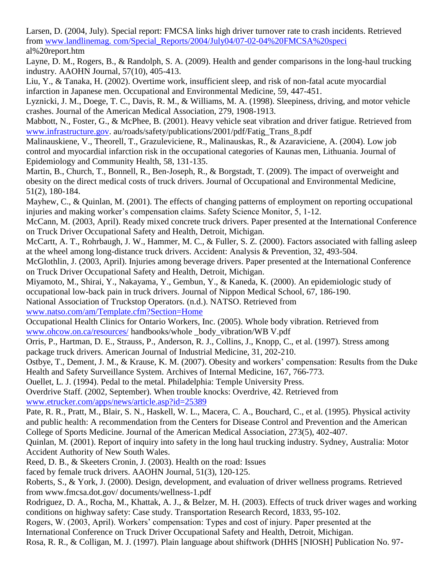Larsen, D. (2004, July). Special report: FMCSA links high driver turnover rate to crash incidents. Retrieved from [www.landlinemag. com/Special\\_Reports/2004/July04/07-02-04%20FMCSA%20speci](http://www.landlinemag.com/Special_Reports/2004/July04/07-02-04%20FMCSA%20speci) al%20report.htm

Layne, D. M., Rogers, B., & Randolph, S. A. (2009). Health and gender comparisons in the long-haul trucking industry. AAOHN Journal, 57(10), 405-413.

Liu, Y., & Tanaka, H. (2002). Overtime work, insufficient sleep, and risk of non-fatal acute myocardial infarction in Japanese men. Occupational and Environmental Medicine, 59, 447-451.

Lyznicki, J. M., Doege, T. C., Davis, R. M., & Williams, M. A. (1998). Sleepiness, driving, and motor vehicle crashes. Journal of the American Medical Association, 279, 1908-1913.

Mabbott, N., Foster, G., & McPhee, B. (2001). Heavy vehicle seat vibration and driver fatigue. Retrieved from [www.infrastructure.gov.](http://www.infrastructure.gov/) au/roads/safety/publications/2001/pdf/Fatig\_Trans\_8.pdf

Malinauskiene, V., Theorell, T., Grazuleviciene, R., Malinauskas, R., & Azaraviciene, A. (2004). Low job control and myocardial infarction risk in the occupational categories of Kaunas men, Lithuania. Journal of Epidemiology and Community Health, 58, 131-135.

Martin, B., Church, T., Bonnell, R., Ben-Joseph, R., & Borgstadt, T. (2009). The impact of overweight and obesity on the direct medical costs of truck drivers. Journal of Occupational and Environmental Medicine, 51(2), 180-184.

Mayhew, C., & Quinlan, M. (2001). The effects of changing patterns of employment on reporting occupational injuries and making worker's compensation claims. Safety Science Monitor, 5, 1-12.

McCann, M. (2003, April). Ready mixed concrete truck drivers. Paper presented at the International Conference on Truck Driver Occupational Safety and Health, Detroit, Michigan.

McCartt, A. T., Rohrbaugh, J. W., Hammer, M. C., & Fuller, S. Z. (2000). Factors associated with falling asleep at the wheel among long-distance truck drivers. Accident: Analysis & Prevention, 32, 493-504.

McGlothlin, J. (2003, April). Injuries among beverage drivers. Paper presented at the International Conference on Truck Driver Occupational Safety and Health, Detroit, Michigan.

Miyamoto, M., Shirai, Y., Nakayama, Y., Gembun, Y., & Kaneda, K. (2000). An epidemiologic study of occupational low-back pain in truck drivers. Journal of Nippon Medical School, 67, 186-190.

National Association of Truckstop Operators. (n.d.). NATSO. Retrieved from

[www.natso.com/am/Template.cfm?Section=Home](http://www.natso.com/am/Template.cfm?Section=Home)

Occupational Health Clinics for Ontario Workers, Inc. (2005). Whole body vibration. Retrieved from [www.ohcow.on.ca/resources/](http://www.ohcow.on.ca/resources/) handbooks/whole \_body\_vibration/WB V.pdf

Orris, P., Hartman, D. E., Strauss, P., Anderson, R. J., Collins, J., Knopp, C., et al. (1997). Stress among package truck drivers. American Journal of Industrial Medicine, 31, 202-210.

Ostbye, T., Dement, J. M., & Krause, K. M. (2007). Obesity and workers' compensation: Results from the Duke Health and Safety Surveillance System. Archives of Internal Medicine, 167, 766-773.

Ouellet, L. J. (1994). Pedal to the metal. Philadelphia: Temple University Press.

Overdrive Staff. (2002, September). When trouble knocks: Overdrive, 42. Retrieved from [www.etrucker.com/apps/news/article.asp?id=25389](http://www.etrucker.com/apps/news/article.asp?id=25389)

Pate, R. R., Pratt, M., Blair, S. N., Haskell, W. L., Macera, C. A., Bouchard, C., et al. (1995). Physical activity and public health: A recommendation from the Centers for Disease Control and Prevention and the American College of Sports Medicine. Journal of the American Medical Association, 273(5), 402-407.

Quinlan, M. (2001). Report of inquiry into safety in the long haul trucking industry. Sydney, Australia: Motor Accident Authority of New South Wales.

Reed, D. B., & Skeeters Cronin, J. (2003). Health on the road: Issues

faced by female truck drivers. AAOHN Journal, 51(3), 120-125.

Roberts, S., & York, J. (2000). Design, development, and evaluation of driver wellness programs. Retrieved from www.fmcsa.dot.gov/ documents/wellness-1.pdf

Rodriguez, D. A., Rocha, M., Khattak, A. J., & Belzer, M. H. (2003). Effects of truck driver wages and working conditions on highway safety: Case study. Transportation Research Record, 1833, 95-102.

Rogers, W. (2003, April). Workers' compensation: Types and cost of injury. Paper presented at the International Conference on Truck Driver Occupational Safety and Health, Detroit, Michigan.

Rosa, R. R., & Colligan, M. J. (1997). Plain language about shiftwork (DHHS [NIOSH] Publication No. 97-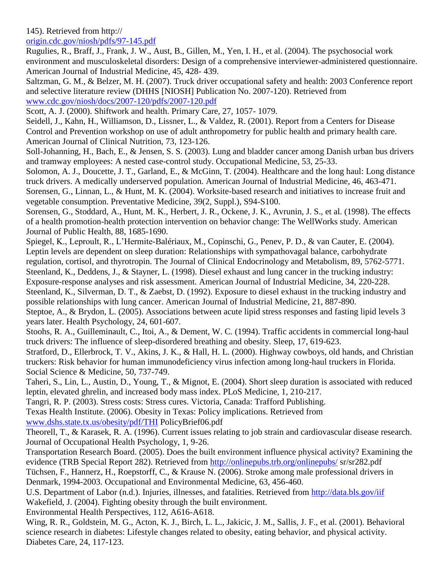# 145). Retrieved from http://

[origin.cdc.gov/niosh/pdfs/97-145.pdf](http://origin.cdc.gov/niosh/pdfs/97-145.pdf)

Rugulies, R., Braff, J., Frank, J. W., Aust, B., Gillen, M., Yen, I. H., et al. (2004). The psychosocial work environment and musculoskeletal disorders: Design of a comprehensive interviewer-administered questionnaire. American Journal of Industrial Medicine, 45, 428- 439.

Saltzman, G. M., & Belzer, M. H. (2007). Truck driver occupational safety and health: 2003 Conference report and selective literature review (DHHS [NIOSH] Publication No. 2007-120). Retrieved from [www.cdc.gov/niosh/docs/2007-120/pdfs/2007-120.pdf](http://www.cdc.gov/niosh/docs/2007-120/pdfs/2007-120.pdf)

Scott, A. J. (2000). Shiftwork and health. Primary Care, 27, 1057- 1079.

Seidell, J., Kahn, H., Williamson, D., Lissner, L., & Valdez, R. (2001). Report from a Centers for Disease Control and Prevention workshop on use of adult anthropometry for public health and primary health care. American Journal of Clinical Nutrition, 73, 123-126.

Soll-Johanning, H., Bach, E., & Jensen, S. S. (2003). Lung and bladder cancer among Danish urban bus drivers and tramway employees: A nested case-control study. Occupational Medicine, 53, 25-33.

Solomon, A. J., Doucette, J. T., Garland, E., & McGinn, T. (2004). Healthcare and the long haul: Long distance truck drivers. A medically underserved population. American Journal of Industrial Medicine, 46, 463-471. Sorensen, G., Linnan, L., & Hunt, M. K. (2004). Worksite-based research and initiatives to increase fruit and vegetable consumption. Preventative Medicine, 39(2, Suppl.), S94-S100.

Sorensen, G., Stoddard, A., Hunt, M. K., Herbert, J. R., Ockene, J. K., Avrunin, J. S., et al. (1998). The effects of a health promotion-health protection intervention on behavior change: The WellWorks study. American Journal of Public Health, 88, 1685-1690.

Spiegel, K., Leproult, R., L'Hermite-Balériaux, M., Copinschi, G., Penev, P. D., & van Cauter, E. (2004). Leptin levels are dependent on sleep duration: Relationships with sympathovagal balance, carbohydrate regulation, cortisol, and thyrotropin. The Journal of Clinical Endocrinology and Metabolism, 89, 5762-5771. Steenland, K., Deddens, J., & Stayner, L. (1998). Diesel exhaust and lung cancer in the trucking industry: Exposure-response analyses and risk assessment. American Journal of Industrial Medicine, 34, 220-228.

Steenland, K., Silverman, D. T., & Zaebst, D. (1992). Exposure to diesel exhaust in the trucking industry and possible relationships with lung cancer. American Journal of Industrial Medicine, 21, 887-890.

Steptoe, A., & Brydon, L. (2005). Associations between acute lipid stress responses and fasting lipid levels 3 years later. Health Psychology, 24, 601-607.

Stoohs, R. A., Guilleminault, C., Itoi, A., & Dement, W. C. (1994). Traffic accidents in commercial long-haul truck drivers: The influence of sleep-disordered breathing and obesity. Sleep, 17, 619-623.

Stratford, D., Ellerbrock, T. V., Akins, J. K., & Hall, H. L. (2000). Highway cowboys, old hands, and Christian truckers: Risk behavior for human immunodeficiency virus infection among long-haul truckers in Florida. Social Science & Medicine, 50, 737-749.

Taheri, S., Lin, L., Austin, D., Young, T., & Mignot, E. (2004). Short sleep duration is associated with reduced leptin, elevated ghrelin, and increased body mass index. PLoS Medicine, 1, 210-217.

Tangri, R. P. (2003). Stress costs: Stress cures. Victoria, Canada: Trafford Publishing.

Texas Health Institute. (2006). Obesity in Texas: Policy implications. Retrieved from [www.dshs.state.tx.us/obesity/pdf/THI](http://www.dshs.state.tx.us/obesity/pdf/THI) PolicyBrief06.pdf

Theorell, T., & Karasek, R. A. (1996). Current issues relating to job strain and cardiovascular disease research. Journal of Occupational Health Psychology, 1, 9-26.

Transportation Research Board. (2005). Does the built environment influence physical activity? Examining the evidence (TRB Special Report 282). Retrieved from<http://onlinepubs.trb.org/onlinepubs/> sr/sr282.pdf

Tüchsen, F., Hannerz, H., Roepstorff, C., & Krause N. (2006). Stroke among male professional drivers in Denmark, 1994-2003. Occupational and Environmental Medicine, 63, 456-460.

U.S. Department of Labor (n.d.). Injuries, illnesses, and fatalities. Retrieved from<http://data.bls.gov/iif> Wakefield, J. (2004). Fighting obesity through the built environment.

Environmental Health Perspectives, 112, A616-A618.

Wing, R. R., Goldstein, M. G., Acton, K. J., Birch, L. L., Jakicic, J. M., Sallis, J. F., et al. (2001). Behavioral science research in diabetes: Lifestyle changes related to obesity, eating behavior, and physical activity. Diabetes Care, 24, 117-123.